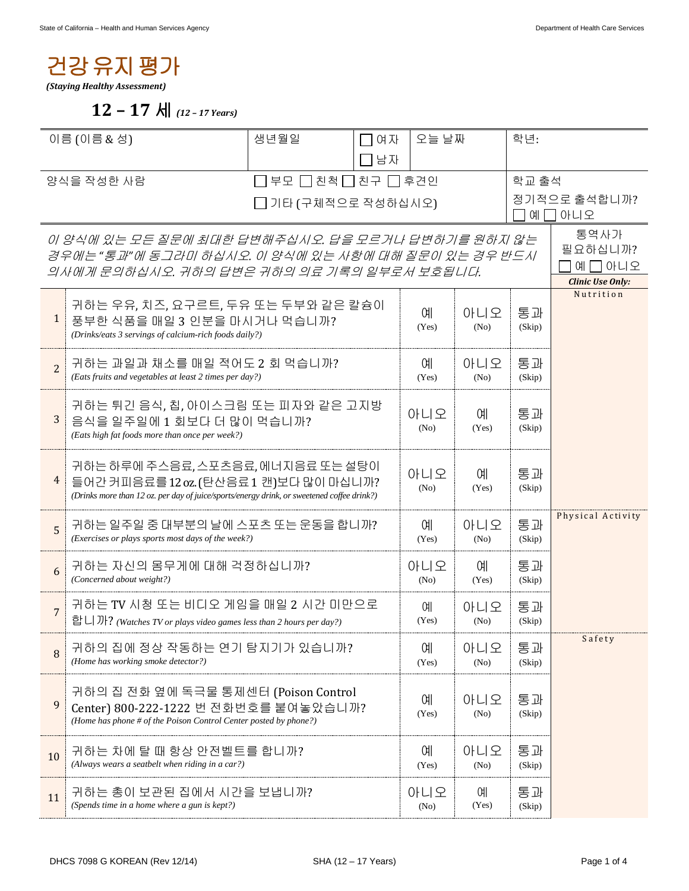## 건강유지평가

*(Staying Healthy Assessment)* 

 **12 – 17** 세 *(12 – 17 Years)* 

| 이름 (이름 & 성)                                                                                                                                             |                                                                                                                                                                           | 생년월일               | 오늘 날짜<br>ᄀ여자        |             |                          | 학년:          |                                                       |
|---------------------------------------------------------------------------------------------------------------------------------------------------------|---------------------------------------------------------------------------------------------------------------------------------------------------------------------------|--------------------|---------------------|-------------|--------------------------|--------------|-------------------------------------------------------|
|                                                                                                                                                         |                                                                                                                                                                           |                    | 1남자                 |             |                          |              |                                                       |
| 양식을 작성한 사람                                                                                                                                              |                                                                                                                                                                           | 부모 □ 친척 □ 친구 □ 후견인 |                     |             | 학교 출석                    |              |                                                       |
| □ 기타 (구체적으로 작성하십시오)                                                                                                                                     |                                                                                                                                                                           |                    |                     |             | 정기적으로 출석합니까?<br>예 囗 아니오  |              |                                                       |
| 이 양식에 있는 모든 질문에 최대한 답변해주십시오. 답을 모르거나 답변하기를 원하지 않는<br>경우에는 "통과"에 동그라미 하십시오. 이 양식에 있는 사항에 대해 질문이 있는 경우 반드시<br>의사에게 문의하십시오. 귀하의 답변은 귀하의 의료 기록의 일부로서 보호됩니다. |                                                                                                                                                                           |                    |                     |             |                          |              | 통역사가<br>필요하십니까?<br>예 □ 아니오<br><b>Clinic Use Only:</b> |
| $\mathbf{1}$                                                                                                                                            | 귀하는 우유, 치즈, 요구르트, 두유 또는 두부와 같은 칼슘이<br>풍부한 식품을 매일 3 인분을 마시거나 먹습니까?<br>(Drinks/eats 3 servings of calcium-rich foods daily?)                                                |                    |                     |             | 아니오<br>(No)              | 통과<br>(Skip) | Nutrition                                             |
| $\overline{2}$                                                                                                                                          | 귀하는 과일과 채소를 매일 적어도 2 회 먹습니까?<br>(Eats fruits and vegetables at least 2 times per day?)                                                                                    |                    |                     |             | 아니오<br>(No)              | 통과<br>(Skip) |                                                       |
| 3                                                                                                                                                       | 귀하는 튀긴 음식, 칩, 아이스크림 또는 피자와 같은 고지방<br>음식을 일주일에 1 회보다 더 많이 먹습니까?<br>(Eats high fat foods more than once per week?)                                                          |                    |                     |             | 예.<br>(Yes)              | 통과<br>(Skip) |                                                       |
| 4                                                                                                                                                       | 귀하는 하루에 주스음료, 스포츠음료, 에너지음료 또는 설탕이<br>들어간 커피음료를 12 oz. (탄산음료 1 캔)보다 많이 마십니까?<br>(Drinks more than 12 oz. per day of juice/sports/energy drink, or sweetened coffee drink?) |                    | 아니오<br>(No)         | 예.<br>(Yes) | 통과<br>(Skip)             |              |                                                       |
| 5                                                                                                                                                       | 귀하는 일주일 중 대부분의 날에 스포츠 또는 운동을 합니까?<br>(Exercises or plays sports most days of the week?)                                                                                   |                    |                     |             | 아니오<br>(No)              | 통과<br>(Skip) | Physical Activity                                     |
| 6                                                                                                                                                       | 귀하는 자신의 몸무게에 대해 걱정하십니까?<br>(Concerned about weight?)                                                                                                                      |                    |                     |             | 예.<br>(Yes)              | 통과<br>(Skip) |                                                       |
| $\overline{7}$                                                                                                                                          | 귀하는 TV 시청 또는 비디오 게임을 매일 2 시간 미만으로<br>합니까? (Watches TV or plays video games less than 2 hours per day?)                                                                    |                    | <b>CHI</b><br>(Yes) | 아니오<br>(No) | 통과<br>(Skip)             |              |                                                       |
| 8                                                                                                                                                       | 귀하의 집에 정상 작동하는 연기 탐지기가 있습니까?<br>(Home has working smoke detector?)                                                                                                        |                    |                     |             | 아니오<br>(N <sub>0</sub> ) | 통과<br>(Skip) | Safety                                                |
| 9                                                                                                                                                       | 귀하의 집 전화 옆에 독극물 통제센터 (Poison Control<br>Center) 800-222-1222 번 전화번호를 붙여놓았습니까?<br>(Home has phone # of the Poison Control Center posted by phone?)                         |                    | 예<br>(Yes)          | 아니오<br>(No) | 통과<br>(Skip)             |              |                                                       |
| 10                                                                                                                                                      | 귀하는 차에 탈 때 항상 안전벨트를 합니까?<br>(Always wears a seatbelt when riding in a car?)                                                                                               |                    | 예<br>(Yes)          | 아니오<br>(No) | 통과<br>(Skip)             |              |                                                       |
| 11                                                                                                                                                      | 귀하는 총이 보관된 집에서 시간을 보냅니까?<br>(Spends time in a home where a gun is kept?)                                                                                                  |                    |                     |             | 예<br>(Yes)               | 통과<br>(Skip) |                                                       |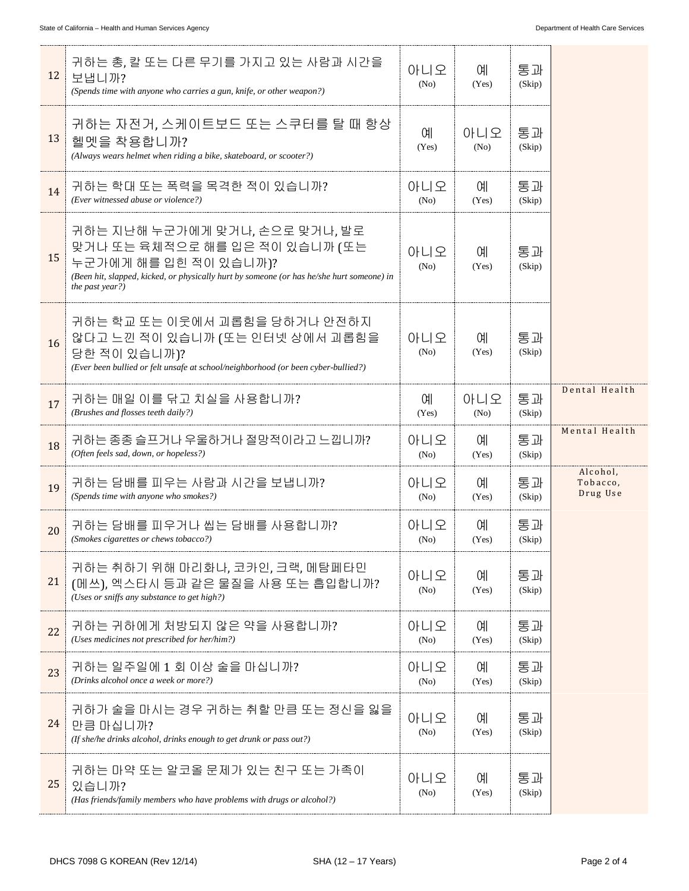| 12 | 귀하는 총, 칼 또는 다른 무기를 가지고 있는 사람과 시간을<br>보냅니까?<br>(Spends time with anyone who carries a gun, knife, or other weapon?)                                                                                        | 아니오<br>(No) | 예<br>(Yes)               | 통과<br>(Skip) |                                  |
|----|-----------------------------------------------------------------------------------------------------------------------------------------------------------------------------------------------------------|-------------|--------------------------|--------------|----------------------------------|
| 13 | 귀하는 자전거, 스케이트보드 또는 스쿠터를 탈 때 항상<br>헬멧을 착용합니까?<br>(Always wears helmet when riding a bike, skateboard, or scooter?)                                                                                         | 예<br>(Yes)  | 아니오<br>(N <sub>0</sub> ) | 통과<br>(Skip) |                                  |
| 14 | 귀하는 학대 또는 폭력을 목격한 적이 있습니까?<br>(Ever witnessed abuse or violence?)                                                                                                                                         | 아니오<br>(No) | 예<br>(Yes)               | 통과<br>(Skip) |                                  |
| 15 | 귀하는 지난해 누군가에게 맞거나, 손으로 맞거나, 발로<br>맞거나 또는 육체적으로 해를 입은 적이 있습니까 (또는<br>누군가에게 해를 입힌 적이 있습니까)?<br>(Been hit, slapped, kicked, or physically hurt by someone (or has he/she hurt someone) in<br>the past year?) | 아니오<br>(No) | 예<br>(Yes)               | 통과<br>(Skip) |                                  |
| 16 | 귀하는 학교 또는 이웃에서 괴롭힘을 당하거나 안전하지<br>않다고 느낀 적이 있습니까 (또는 인터넷 상에서 괴롭힘을<br>당한 적이 있습니까)?<br>(Ever been bullied or felt unsafe at school/neighborhood (or been cyber-bullied?)                                     | 아니오<br>(No) | 예<br>(Yes)               | 통과<br>(Skip) |                                  |
| 17 | 귀하는 매일 이를 닦고 치실을 사용합니까?<br>(Brushes and flosses teeth daily?)                                                                                                                                             | 예<br>(Yes)  | 아니오<br>(No)              | 통과<br>(Skip) | Dental Health                    |
| 18 | 귀하는 종종 슬프거나 우울하거나 절망적이라고 느낍니까?<br>(Often feels sad, down, or hopeless?)                                                                                                                                   | 아니오<br>(No) | 예<br>(Yes)               | 통과<br>(Skip) | Mental Health                    |
| 19 | 귀하는 담배를 피우는 사람과 시간을 보냅니까?<br>(Spends time with anyone who smokes?)                                                                                                                                        | 아니오<br>(No) | 예<br>(Yes)               | 통과<br>(Skip) | Alcohol,<br>Tobacco,<br>Drug Use |
| 20 | 귀하는 담배를 피우거나 씹는 담배를 사용합니까?<br>(Smokes cigarettes or chews tobacco?)                                                                                                                                       | 아니오<br>(No) | 예<br>(Yes)               | 통과<br>(Skip) |                                  |
| 21 | 귀하는 취하기 위해 마리화나, 코카인, 크랙, 메탐페타민<br>(메쓰), 엑스타시 등과 같은 물질을 사용 또는 흡입합니까?<br>(Uses or sniffs any substance to get high?)                                                                                       | 아니오<br>(No) | 예<br>(Yes)               | 통과<br>(Skip) |                                  |
| 22 | 귀하는 귀하에게 처방되지 않은 약을 사용합니까?<br>(Uses medicines not prescribed for her/him?)                                                                                                                                | 아니오<br>(No) | 예<br>(Yes)               | 통과<br>(Skip) |                                  |
| 23 | 귀하는 일주일에 1 회 이상 술을 마십니까?<br>(Drinks alcohol once a week or more?)                                                                                                                                         | 아니오<br>(No) | 예<br>(Yes)               | 통과<br>(Skip) |                                  |
| 24 | 귀하가 술을 마시는 경우 귀하는 취할 만큼 또는 정신을 잃을<br>만큼 마십니까?<br>(If she/he drinks alcohol, drinks enough to get drunk or pass out?)                                                                                      | 아니오<br>(No) | 예<br>(Yes)               | 통과<br>(Skip) |                                  |
| 25 | 귀하는 마약 또는 알코올 문제가 있는 친구 또는 가족이<br>있습니까?<br>(Has friends/family members who have problems with drugs or alcohol?)                                                                                          | 아니오<br>(No) | 예<br>(Yes)               | 통과<br>(Skip) |                                  |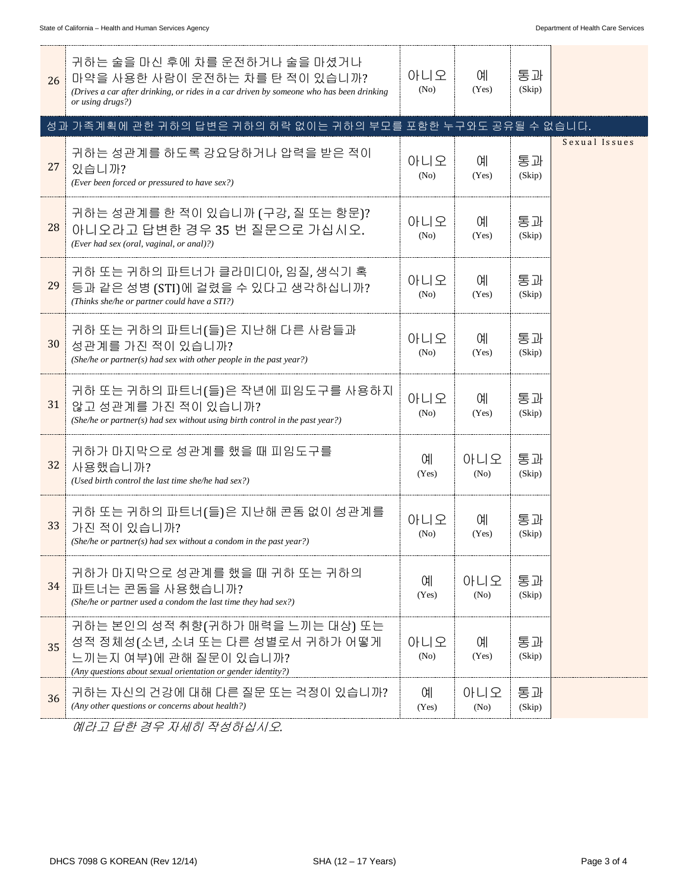| 26 | 귀하는 술을 마신 후에 차를 운전하거나 술을 마셨거나<br>마약을 사용한 사람이 운전하는 차를 탄 적이 있습니까?<br>(Drives a car after drinking, or rides in a car driven by someone who has been drinking<br>or using drugs?) | 아니오<br>(No) | 예.<br>(Yes) | 통과<br>(Skip) |               |
|----|--------------------------------------------------------------------------------------------------------------------------------------------------------------------------------|-------------|-------------|--------------|---------------|
|    | 성과 가족계획에 관한 귀하의 답변은 귀하의 허락 없이는 귀하의 부모를 포함한 누구와도 공유될 수 없습니다.                                                                                                                    |             |             |              |               |
| 27 | 귀하는 성관계를 하도록 강요당하거나 압력을 받은 적이<br>있습니까?<br>(Ever been forced or pressured to have sex?)                                                                                         | 아니오<br>(No) | 예<br>(Yes)  | 통과<br>(Skip) | Sexual Issues |
| 28 | 귀하는 성관계를 한 적이 있습니까 (구강, 질 또는 항문)?<br>아니오라고 답변한 경우 35 번 질문으로 가십시오.<br>(Ever had sex (oral, vaginal, or anal)?)                                                                  | 아니오<br>(No) | 예<br>(Yes)  | 통과<br>(Skip) |               |
| 29 | 귀하 또는 귀하의 파트너가 클라미디아, 임질, 생식기 혹<br>등과 같은 성병 (STI)에 걸렸을 수 있다고 생각하십니까?<br>(Thinks she/he or partner could have a STI?)                                                           | 아니오<br>(No) | 예<br>(Yes)  | 통과<br>(Skip) |               |
| 30 | 귀하 또는 귀하의 파트너(들)은 지난해 다른 사람들과<br>성관계를 가진 적이 있습니까?<br>(She/he or partner(s) had sex with other people in the past year?)                                                        | 아니오<br>(No) | 예<br>(Yes)  | 통과<br>(Skip) |               |
| 31 | 귀하 또는 귀하의 파트너(들)은 작년에 피임도구를 사용하지<br>않고 성관계를 가진 적이 있습니까?<br>(She/he or partner(s) had sex without using birth control in the past year?)                                        | 아니오<br>(No) | 예<br>(Yes)  | 통과<br>(Skip) |               |
| 32 | 귀하가 마지막으로 성관계를 했을 때 피임도구를<br>사용했습니까?<br>(Used birth control the last time she/he had sex?)                                                                                     | 예<br>(Yes)  | 아니오<br>(No) | 통과<br>(Skip) |               |
| 33 | 귀하 또는 귀하의 파트너(들)은 지난해 콘돔 없이 성관계를<br>가진 적이 있습니까?<br>(She/he or partner(s) had sex without a condom in the past year?)                                                           | 아니오<br>(No) | 예<br>(Yes)  | 통과<br>(Skip) |               |
| 34 | 귀하가 마지막으로 성관계를 했을 때 귀하 또는 귀하의<br>파트너는 콘돔을 사용했습니까?<br>(She/he or partner used a condom the last time they had sex?)                                                             | 예<br>(Yes)  | 아니오<br>(No) | 통과<br>(Skip) |               |
| 35 | 귀하는 본인의 성적 취향(귀하가 매력을 느끼는 대상) 또는<br>성적 정체성(소년, 소녀 또는 다른 성별로서 귀하가 어떻게<br>느끼는지 여부)에 관해 질문이 있습니까?<br>(Any questions about sexual orientation or gender identity?)                 | 아니오<br>(No) | 예<br>(Yes)  | 통과<br>(Skip) |               |
| 36 | 귀하는 자신의 건강에 대해 다른 질문 또는 걱정이 있습니까?<br>(Any other questions or concerns about health?)                                                                                           | 예<br>(Yes)  | 아니오<br>(No) | 통과<br>(Skip) |               |

예라고 답한 경우 자세히 작성하십시오*.*